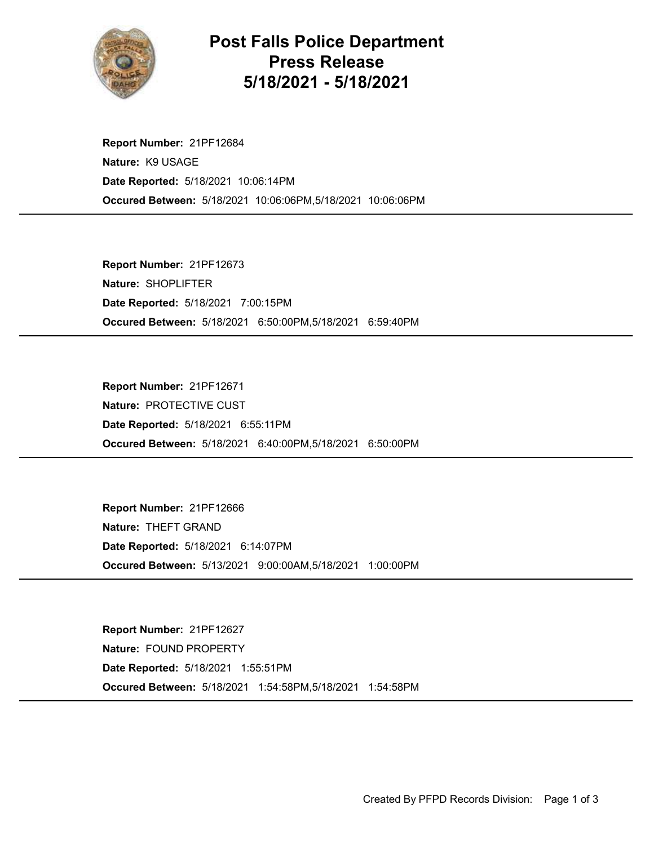

## Post Falls Police Department Press Release 5/18/2021 - 5/18/2021

Occured Between: 5/18/2021 10:06:06PM,5/18/2021 10:06:06PM Report Number: 21PF12684 Nature: K9 USAGE Date Reported: 5/18/2021 10:06:14PM

Occured Between: 5/18/2021 6:50:00PM,5/18/2021 6:59:40PM Report Number: 21PF12673 Nature: SHOPLIFTER Date Reported: 5/18/2021 7:00:15PM

Occured Between: 5/18/2021 6:40:00PM,5/18/2021 6:50:00PM Report Number: 21PF12671 Nature: PROTECTIVE CUST Date Reported: 5/18/2021 6:55:11PM

Occured Between: 5/13/2021 9:00:00AM,5/18/2021 1:00:00PM Report Number: 21PF12666 Nature: THEFT GRAND Date Reported: 5/18/2021 6:14:07PM

Occured Between: 5/18/2021 1:54:58PM,5/18/2021 1:54:58PM Report Number: 21PF12627 Nature: FOUND PROPERTY Date Reported: 5/18/2021 1:55:51PM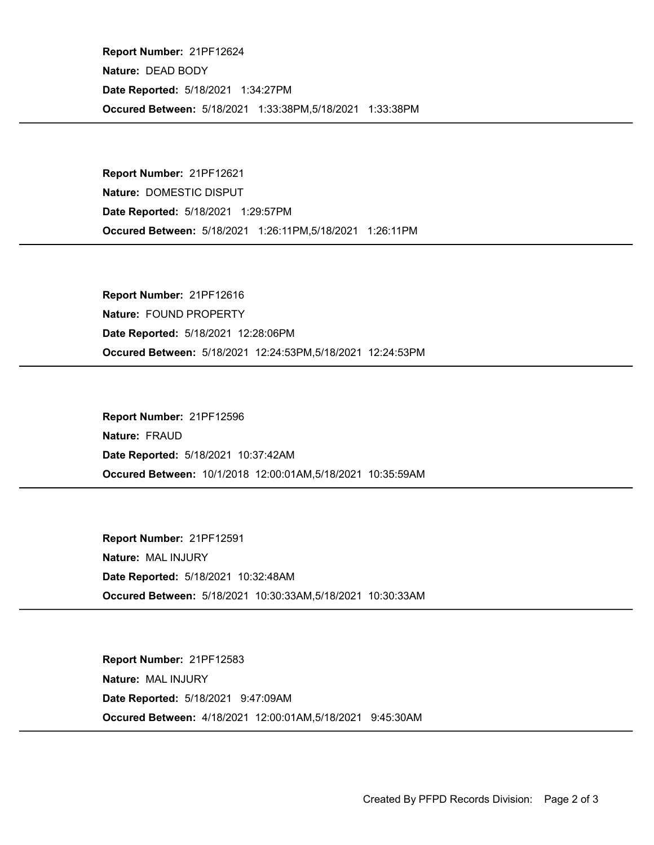Occured Between: 5/18/2021 1:33:38PM,5/18/2021 1:33:38PM Report Number: 21PF12624 Nature: DEAD BODY Date Reported: 5/18/2021 1:34:27PM

Occured Between: 5/18/2021 1:26:11PM,5/18/2021 1:26:11PM Report Number: 21PF12621 Nature: DOMESTIC DISPUT Date Reported: 5/18/2021 1:29:57PM

Occured Between: 5/18/2021 12:24:53PM,5/18/2021 12:24:53PM Report Number: 21PF12616 Nature: FOUND PROPERTY Date Reported: 5/18/2021 12:28:06PM

Occured Between: 10/1/2018 12:00:01AM,5/18/2021 10:35:59AM Report Number: 21PF12596 Nature: FRAUD Date Reported: 5/18/2021 10:37:42AM

Occured Between: 5/18/2021 10:30:33AM,5/18/2021 10:30:33AM Report Number: 21PF12591 Nature: MAL INJURY Date Reported: 5/18/2021 10:32:48AM

Occured Between: 4/18/2021 12:00:01AM,5/18/2021 9:45:30AM Report Number: 21PF12583 Nature: MAL INJURY Date Reported: 5/18/2021 9:47:09AM